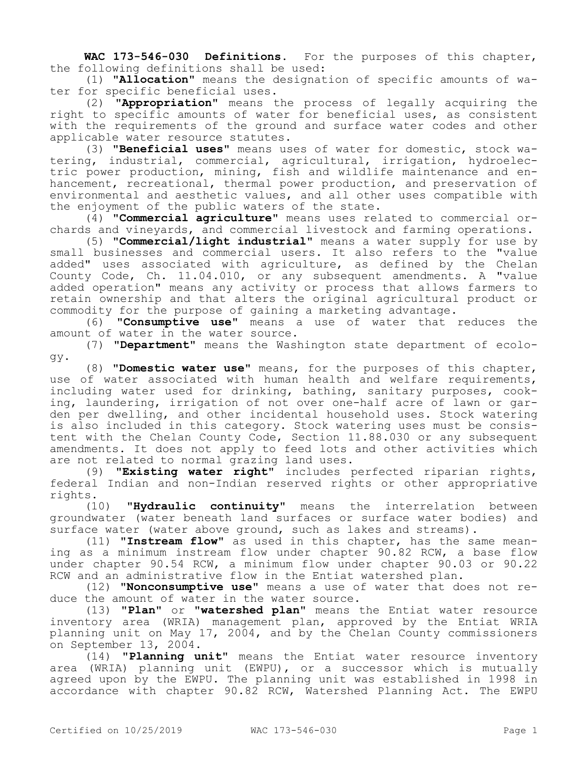**WAC 173-546-030 Definitions.** For the purposes of this chapter, the following definitions shall be used:

(1) **"Allocation"** means the designation of specific amounts of water for specific beneficial uses.

(2) **"Appropriation"** means the process of legally acquiring the right to specific amounts of water for beneficial uses, as consistent with the requirements of the ground and surface water codes and other applicable water resource statutes.

(3) **"Beneficial uses"** means uses of water for domestic, stock watering, industrial, commercial, agricultural, irrigation, hydroelectric power production, mining, fish and wildlife maintenance and enhancement, recreational, thermal power production, and preservation of environmental and aesthetic values, and all other uses compatible with the enjoyment of the public waters of the state.

(4) **"Commercial agriculture"** means uses related to commercial orchards and vineyards, and commercial livestock and farming operations.

(5) **"Commercial/light industrial"** means a water supply for use by small businesses and commercial users. It also refers to the "value added" uses associated with agriculture, as defined by the Chelan County Code, Ch. 11.04.010, or any subsequent amendments. A "value added operation" means any activity or process that allows farmers to retain ownership and that alters the original agricultural product or commodity for the purpose of gaining a marketing advantage.

(6) **"Consumptive use"** means a use of water that reduces the amount of water in the water source.

(7) **"Department"** means the Washington state department of ecology.

(8) **"Domestic water use"** means, for the purposes of this chapter, use of water associated with human health and welfare requirements, including water used for drinking, bathing, sanitary purposes, cooking, laundering, irrigation of not over one-half acre of lawn or garden per dwelling, and other incidental household uses. Stock watering is also included in this category. Stock watering uses must be consistent with the Chelan County Code, Section 11.88.030 or any subsequent amendments. It does not apply to feed lots and other activities which are not related to normal grazing land uses.

(9) **"Existing water right"** includes perfected riparian rights, federal Indian and non-Indian reserved rights or other appropriative rights.

(10) **"Hydraulic continuity"** means the interrelation between groundwater (water beneath land surfaces or surface water bodies) and surface water (water above ground, such as lakes and streams).

(11) **"Instream flow"** as used in this chapter, has the same meaning as a minimum instream flow under chapter 90.82 RCW, a base flow under chapter 90.54 RCW, a minimum flow under chapter 90.03 or 90.22 RCW and an administrative flow in the Entiat watershed plan.

(12) **"Nonconsumptive use"** means a use of water that does not reduce the amount of water in the water source.

(13) **"Plan"** or **"watershed plan"** means the Entiat water resource inventory area (WRIA) management plan, approved by the Entiat WRIA planning unit on May 17, 2004, and by the Chelan County commissioners on September 13, 2004.

(14) **"Planning unit"** means the Entiat water resource inventory area (WRIA) planning unit (EWPU), or a successor which is mutually agreed upon by the EWPU. The planning unit was established in 1998 in accordance with chapter 90.82 RCW, Watershed Planning Act. The EWPU